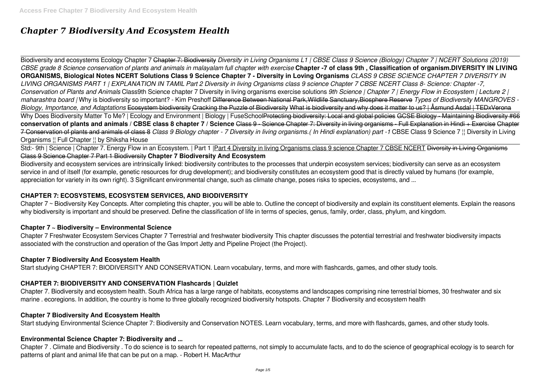# *Chapter 7 Biodiversity And Ecosystem Health*

Biodiversity and ecosystems Ecology Chapter 7 Chapter 7: Biodiversity *Diversity in Living Organisms L1 | CBSE Class 9 Science (Biology) Chapter 7 | NCERT Solutions (2019) CBSE grade 8 Science conservation of plants and animals in malayalam full chapter with exercise* **Chapter -7 of class 9th , Classification of organism.DIVERSITY IN LIVING ORGANISMS, Biological Notes NCERT Solutions Class 9 Science Chapter 7 - Diversity in Loving Organisms** *CLASS 9 CBSE SCIENCE CHAPTER 7 DIVERSITY IN LIVING ORGANISMS PART 1 | EXPLANATION IN TAMIL Part 2 Diversity in living Organisms class 9 science Chapter 7 CBSE NCERT Class 8- Science: Chapter -7, Conservation of Plants and Animals* Class9th Science chapter 7 Diversity in living organisms exercise solutions *9th Science | Chapter 7 | Energy Flow in Ecosystem | Lecture 2 | maharashtra board |* Why is biodiversity so important? - Kim Preshoff Difference Between National Park,Wildlife Sanctuary,Biosphere Reserve *Types of Biodiversity MANGROVES - Biology, Importance, and Adaptations* Ecosystem biodiversity Cracking the Puzzle of Biodiversity What is biodiversity and why does it matter to us? | Åsmund Asdal | TEDxVerona Why Does Biodiversity Matter To Me? | Ecology and Environment | Biology | FuseSchoolProtecting biodiversity: Local and global policies GCSE Biology - Maintaining Biodiversity #66 **conservation of plants and animals / CBSE class 8 chapter 7 / Science** Class 9 - Science Chapter 7: Diversity in living organisms - Full Explanation in Hindi + Exercise Chapter 7 Conservation of plants and animals of class 8 *Class 9 Biology chapter - 7 Diversity in living organisms.( In Hindi explanation) part -1* CBSE Class 9 Science 7 ¦¦ Diversity in Living Organisms ¦¦ Full Chapter ¦¦ by Shiksha House

Std:- 9th | Science | Chapter 7. Energy Flow in an Ecosystem. | Part 1 | Part 4 Diversity in living Organisms class 9 science Chapter 7 CBSE NCERT Diversity in Living Organisms Class 9 Science Chapter 7 Part 1 Biodiversity **Chapter 7 Biodiversity And Ecosystem**

Chapter 7 ~ Biodiversity Key Concepts. After completing this chapter, you will be able to. Outline the concept of biodiversity and explain its constituent elements. Explain the reasons why biodiversity is important and should be preserved. Define the classification of life in terms of species, genus, family, order, class, phylum, and kingdom.

Biodiversity and ecosystem services are intrinsically linked: biodiversity contributes to the processes that underpin ecosystem services; biodiversity can serve as an ecosystem service in and of itself (for example, genetic resources for drug development); and biodiversity constitutes an ecosystem good that is directly valued by humans (for example, appreciation for variety in its own right). 3 Significant environmental change, such as climate change, poses risks to species, ecosystems, and ...

# **CHAPTER 7: ECOSYSTEMS, ECOSYSTEM SERVICES, AND BIODIVERSITY**

# **Chapter 7 ~ Biodiversity – Environmental Science**

Chapter 7 Freshwater Ecosystem Services Chapter 7 Terrestrial and freshwater biodiversity This chapter discusses the potential terrestrial and freshwater biodiversity impacts associated with the construction and operation of the Gas Import Jetty and Pipeline Project (the Project).

# **Chapter 7 Biodiversity And Ecosystem Health**

Start studying CHAPTER 7: BIODIVERSITY AND CONSERVATION. Learn vocabulary, terms, and more with flashcards, games, and other study tools.

# **CHAPTER 7: BIODIVERSITY AND CONSERVATION Flashcards | Quizlet**

Chapter 7. Biodiversity and ecosystem health. South Africa has a large range of habitats, ecosystems and landscapes comprising nine terrestrial biomes, 30 freshwater and six marine . ecoregions. In addition, the country is home to three globally recognized biodiversity hotspots. Chapter 7 Biodiversity and ecosystem health

# **Chapter 7 Biodiversity And Ecosystem Health**

Start studying Environmental Science Chapter 7: Biodiversity and Conservation NOTES. Learn vocabulary, terms, and more with flashcards, games, and other study tools.

# **Environmental Science Chapter 7: Biodiversity and ...**

Chapter 7 . Climate and Biodiversity . To do science is to search for repeated patterns, not simply to accumulate facts, and to do the science of geographical ecology is to search for patterns of plant and animal life that can be put on a map. - Robert H. MacArthur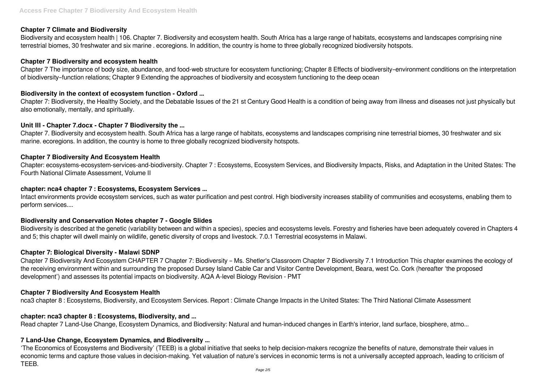# **Chapter 7 Climate and Biodiversity**

Biodiversity and ecosystem health | 106. Chapter 7. Biodiversity and ecosystem health. South Africa has a large range of habitats, ecosystems and landscapes comprising nine terrestrial biomes, 30 freshwater and six marine . ecoregions. In addition, the country is home to three globally recognized biodiversity hotspots.

# **Chapter 7 Biodiversity and ecosystem health**

Chapter 7 The importance of body size, abundance, and food-web structure for ecosystem functioning; Chapter 8 Effects of biodiversity–environment conditions on the interpretation of biodiversity–function relations; Chapter 9 Extending the approaches of biodiversity and ecosystem functioning to the deep ocean

# **Biodiversity in the context of ecosystem function - Oxford ...**

Chapter 7: Biodiversity, the Healthy Society, and the Debatable Issues of the 21 st Century Good Health is a condition of being away from illness and diseases not just physically but also emotionally, mentally, and spiritually.

# **Unit III - Chapter 7.docx - Chapter 7 Biodiversity the ...**

Chapter 7. Biodiversity and ecosystem health. South Africa has a large range of habitats, ecosystems and landscapes comprising nine terrestrial biomes, 30 freshwater and six marine. ecoregions. In addition, the country is home to three globally recognized biodiversity hotspots.

# **Chapter 7 Biodiversity And Ecosystem Health**

Chapter: ecosystems-ecosystem-services-and-biodiversity. Chapter 7 : Ecosystems, Ecosystem Services, and Biodiversity Impacts, Risks, and Adaptation in the United States: The Fourth National Climate Assessment, Volume II

# **chapter: nca4 chapter 7 : Ecosystems, Ecosystem Services ...**

Intact environments provide ecosystem services, such as water purification and pest control. High biodiversity increases stability of communities and ecosystems, enabling them to perform services....

# **Biodiversity and Conservation Notes chapter 7 - Google Slides**

Biodiversity is described at the genetic (variability between and within a species), species and ecosystems levels. Forestry and fisheries have been adequately covered in Chapters 4 and 5; this chapter will dwell mainly on wildlife, genetic diversity of crops and livestock. 7.0.1 Terrestrial ecosystems in Malawi.

# **Chapter 7: Biological Diversity - Malawi SDNP**

Chapter 7 Biodiversity And Ecosystem CHAPTER 7 Chapter 7: Biodiversity – Ms. Shetler's Classroom Chapter 7 Biodiversity 7.1 Introduction This chapter examines the ecology of the receiving environment within and surrounding the proposed Dursey Island Cable Car and Visitor Centre Development, Beara, west Co. Cork (hereafter 'the proposed development') and assesses its potential impacts on biodiversity. AQA A-level Biology Revision - PMT

# **Chapter 7 Biodiversity And Ecosystem Health**

nca3 chapter 8 : Ecosystems, Biodiversity, and Ecosystem Services. Report : Climate Change Impacts in the United States: The Third National Climate Assessment

# **chapter: nca3 chapter 8 : Ecosystems, Biodiversity, and ...**

Read chapter 7 Land-Use Change, Ecosystem Dynamics, and Biodiversity: Natural and human-induced changes in Earth's interior, land surface, biosphere, atmo...

# **7 Land-Use Change, Ecosystem Dynamics, and Biodiversity ...**

'The Economics of Ecosystems and Biodiversity' (TEEB) is a global initiative that seeks to help decision-makers recognize the benefits of nature, demonstrate their values in economic terms and capture those values in decision-making. Yet valuation of nature's services in economic terms is not a universally accepted approach, leading to criticism of TEEB.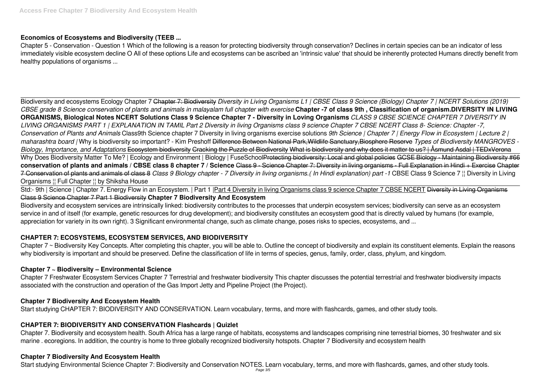# **Economics of Ecosystems and Biodiversity (TEEB ...**

Chapter 5 - Conservation - Question 1 Which of the following is a reason for protecting biodiversity through conservation? Declines in certain species can be an indicator of less immediately visible ecosystem decline O All of these options Life and ecosystems can be ascribed an 'intrinsic value' that should be inherently protected Humans directly benefit from healthy populations of organisms ...

Std:- 9th | Science | Chapter 7. Energy Flow in an Ecosystem. | Part 1 | Part 4 Diversity in living Organisms class 9 science Chapter 7 CBSE NCERT Diversity in Living Organisms Class 9 Science Chapter 7 Part 1 Biodiversity **Chapter 7 Biodiversity And Ecosystem**

Biodiversity and ecosystem services are intrinsically linked: biodiversity contributes to the processes that underpin ecosystem services; biodiversity can serve as an ecosystem service in and of itself (for example, genetic resources for drug development); and biodiversity constitutes an ecosystem good that is directly valued by humans (for example, appreciation for variety in its own right). 3 Significant environmental change, such as climate change, poses risks to species, ecosystems, and ...

Biodiversity and ecosystems Ecology Chapter 7 Chapter 7: Biodiversity *Diversity in Living Organisms L1 | CBSE Class 9 Science (Biology) Chapter 7 | NCERT Solutions (2019) CBSE grade 8 Science conservation of plants and animals in malayalam full chapter with exercise* **Chapter -7 of class 9th , Classification of organism.DIVERSITY IN LIVING ORGANISMS, Biological Notes NCERT Solutions Class 9 Science Chapter 7 - Diversity in Loving Organisms** *CLASS 9 CBSE SCIENCE CHAPTER 7 DIVERSITY IN LIVING ORGANISMS PART 1 | EXPLANATION IN TAMIL Part 2 Diversity in living Organisms class 9 science Chapter 7 CBSE NCERT Class 8- Science: Chapter -7, Conservation of Plants and Animals* Class9th Science chapter 7 Diversity in living organisms exercise solutions *9th Science | Chapter 7 | Energy Flow in Ecosystem | Lecture 2 | maharashtra board |* Why is biodiversity so important? - Kim Preshoff Difference Between National Park,Wildlife Sanctuary,Biosphere Reserve *Types of Biodiversity MANGROVES - Biology, Importance, and Adaptations* Ecosystem biodiversity Cracking the Puzzle of Biodiversity What is biodiversity and why does it matter to us? | Åsmund Asdal | TEDxVerona Why Does Biodiversity Matter To Me? | Ecology and Environment | Biology | FuseSchoolProtecting biodiversity: Local and global policies GCSE Biology - Maintaining Biodiversity #66 **conservation of plants and animals / CBSE class 8 chapter 7 / Science** Class 9 - Science Chapter 7: Diversity in living organisms - Full Explanation in Hindi + Exercise Chapter 7 Conservation of plants and animals of class 8 *Class 9 Biology chapter - 7 Diversity in living organisms.( In Hindi explanation) part -1* CBSE Class 9 Science 7 ¦¦ Diversity in Living Organisms ¦¦ Full Chapter ¦¦ by Shiksha House

Chapter 7 ~ Biodiversity Key Concepts. After completing this chapter, you will be able to. Outline the concept of biodiversity and explain its constituent elements. Explain the reasons why biodiversity is important and should be preserved. Define the classification of life in terms of species, genus, family, order, class, phylum, and kingdom.

# **CHAPTER 7: ECOSYSTEMS, ECOSYSTEM SERVICES, AND BIODIVERSITY**

# **Chapter 7 ~ Biodiversity – Environmental Science**

Chapter 7 Freshwater Ecosystem Services Chapter 7 Terrestrial and freshwater biodiversity This chapter discusses the potential terrestrial and freshwater biodiversity impacts associated with the construction and operation of the Gas Import Jetty and Pipeline Project (the Project).

# **Chapter 7 Biodiversity And Ecosystem Health**

Start studying CHAPTER 7: BIODIVERSITY AND CONSERVATION. Learn vocabulary, terms, and more with flashcards, games, and other study tools.

# **CHAPTER 7: BIODIVERSITY AND CONSERVATION Flashcards | Quizlet**

Chapter 7. Biodiversity and ecosystem health. South Africa has a large range of habitats, ecosystems and landscapes comprising nine terrestrial biomes, 30 freshwater and six marine . ecoregions. In addition, the country is home to three globally recognized biodiversity hotspots. Chapter 7 Biodiversity and ecosystem health

# **Chapter 7 Biodiversity And Ecosystem Health**

Start studying Environmental Science Chapter 7: Biodiversity and Conservation NOTES. Learn vocabulary, terms, and more with flashcards, games, and other study tools. Page 3/5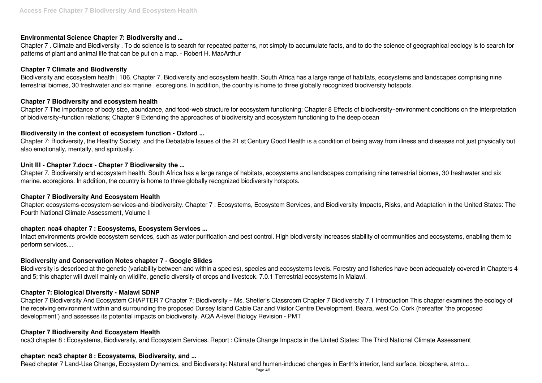# **Environmental Science Chapter 7: Biodiversity and ...**

Chapter 7 . Climate and Biodiversity . To do science is to search for repeated patterns, not simply to accumulate facts, and to do the science of geographical ecology is to search for patterns of plant and animal life that can be put on a map. - Robert H. MacArthur

# **Chapter 7 Climate and Biodiversity**

Biodiversity and ecosystem health | 106. Chapter 7. Biodiversity and ecosystem health. South Africa has a large range of habitats, ecosystems and landscapes comprising nine terrestrial biomes, 30 freshwater and six marine . ecoregions. In addition, the country is home to three globally recognized biodiversity hotspots.

# **Chapter 7 Biodiversity and ecosystem health**

Chapter 7 The importance of body size, abundance, and food-web structure for ecosystem functioning; Chapter 8 Effects of biodiversity–environment conditions on the interpretation of biodiversity–function relations; Chapter 9 Extending the approaches of biodiversity and ecosystem functioning to the deep ocean

# **Biodiversity in the context of ecosystem function - Oxford ...**

Chapter 7: Biodiversity, the Healthy Society, and the Debatable Issues of the 21 st Century Good Health is a condition of being away from illness and diseases not just physically but also emotionally, mentally, and spiritually.

# **Unit III - Chapter 7.docx - Chapter 7 Biodiversity the ...**

Chapter 7. Biodiversity and ecosystem health. South Africa has a large range of habitats, ecosystems and landscapes comprising nine terrestrial biomes, 30 freshwater and six marine. ecoregions. In addition, the country is home to three globally recognized biodiversity hotspots.

# **Chapter 7 Biodiversity And Ecosystem Health**

Chapter: ecosystems-ecosystem-services-and-biodiversity. Chapter 7 : Ecosystems, Ecosystem Services, and Biodiversity Impacts, Risks, and Adaptation in the United States: The Fourth National Climate Assessment, Volume II

# **chapter: nca4 chapter 7 : Ecosystems, Ecosystem Services ...**

Intact environments provide ecosystem services, such as water purification and pest control. High biodiversity increases stability of communities and ecosystems, enabling them to perform services....

#### **Biodiversity and Conservation Notes chapter 7 - Google Slides**

Biodiversity is described at the genetic (variability between and within a species), species and ecosystems levels. Forestry and fisheries have been adequately covered in Chapters 4 and 5; this chapter will dwell mainly on wildlife, genetic diversity of crops and livestock. 7.0.1 Terrestrial ecosystems in Malawi.

# **Chapter 7: Biological Diversity - Malawi SDNP**

Chapter 7 Biodiversity And Ecosystem CHAPTER 7 Chapter 7: Biodiversity – Ms. Shetler's Classroom Chapter 7 Biodiversity 7.1 Introduction This chapter examines the ecology of the receiving environment within and surrounding the proposed Dursey Island Cable Car and Visitor Centre Development, Beara, west Co. Cork (hereafter 'the proposed development') and assesses its potential impacts on biodiversity. AQA A-level Biology Revision - PMT

# **Chapter 7 Biodiversity And Ecosystem Health**

nca3 chapter 8 : Ecosystems, Biodiversity, and Ecosystem Services. Report : Climate Change Impacts in the United States: The Third National Climate Assessment

#### **chapter: nca3 chapter 8 : Ecosystems, Biodiversity, and ...**

Read chapter 7 Land-Use Change, Ecosystem Dynamics, and Biodiversity: Natural and human-induced changes in Earth's interior, land surface, biosphere, atmo...